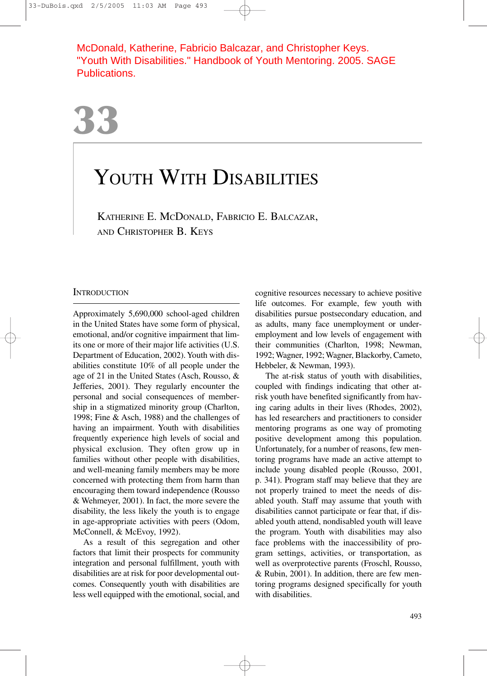McDonald, Katherine, Fabricio Balcazar, and Christopher Keys. "Youth With Disabilities." Handbook of Youth Mentoring. 2005. SAGE Publications.

# YOUTH WITH DISABILITIES

KATHERINE E. MCDONALD, FABRICIO E. BALCAZAR, AND CHRISTOPHER B. KEYS

# **INTRODUCTION**

Approximately 5,690,000 school-aged children in the United States have some form of physical, emotional, and/or cognitive impairment that limits one or more of their major life activities (U.S. Department of Education, 2002). Youth with disabilities constitute 10% of all people under the age of 21 in the United States (Asch, Rousso, & Jefferies, 2001). They regularly encounter the personal and social consequences of membership in a stigmatized minority group (Charlton, 1998; Fine & Asch, 1988) and the challenges of having an impairment. Youth with disabilities frequently experience high levels of social and physical exclusion. They often grow up in families without other people with disabilities, and well-meaning family members may be more concerned with protecting them from harm than encouraging them toward independence (Rousso & Wehmeyer, 2001). In fact, the more severe the disability, the less likely the youth is to engage in age-appropriate activities with peers (Odom, McConnell, & McEvoy, 1992).

As a result of this segregation and other factors that limit their prospects for community integration and personal fulfillment, youth with disabilities are at risk for poor developmental outcomes. Consequently youth with disabilities are less well equipped with the emotional, social, and cognitive resources necessary to achieve positive life outcomes. For example, few youth with disabilities pursue postsecondary education, and as adults, many face unemployment or underemployment and low levels of engagement with their communities (Charlton, 1998; Newman, 1992; Wagner, 1992; Wagner, Blackorby, Cameto, Hebbeler, & Newman, 1993).

The at-risk status of youth with disabilities, coupled with findings indicating that other atrisk youth have benefited significantly from having caring adults in their lives (Rhodes, 2002), has led researchers and practitioners to consider mentoring programs as one way of promoting positive development among this population. Unfortunately, for a number of reasons, few mentoring programs have made an active attempt to include young disabled people (Rousso, 2001, p. 341). Program staff may believe that they are not properly trained to meet the needs of disabled youth. Staff may assume that youth with disabilities cannot participate or fear that, if disabled youth attend, nondisabled youth will leave the program. Youth with disabilities may also face problems with the inaccessibility of program settings, activities, or transportation, as well as overprotective parents (Froschl, Rousso, & Rubin, 2001). In addition, there are few mentoring programs designed specifically for youth with disabilities.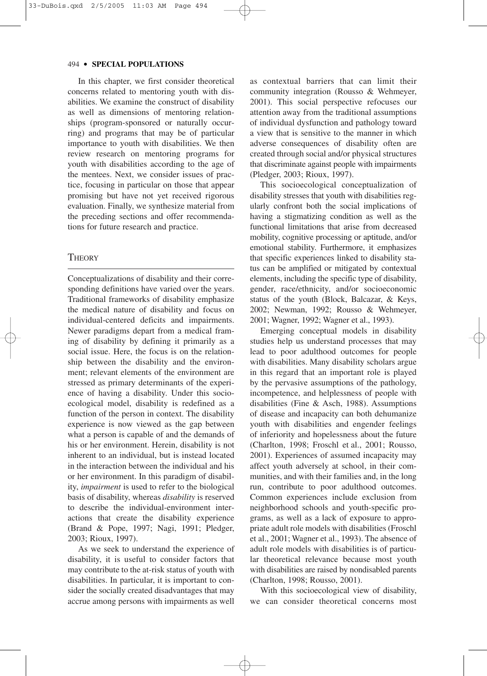In this chapter, we first consider theoretical concerns related to mentoring youth with disabilities. We examine the construct of disability as well as dimensions of mentoring relationships (program-sponsored or naturally occurring) and programs that may be of particular importance to youth with disabilities. We then review research on mentoring programs for youth with disabilities according to the age of the mentees. Next, we consider issues of practice, focusing in particular on those that appear promising but have not yet received rigorous evaluation. Finally, we synthesize material from the preceding sections and offer recommendations for future research and practice.

# **THEORY**

Conceptualizations of disability and their corresponding definitions have varied over the years. Traditional frameworks of disability emphasize the medical nature of disability and focus on individual-centered deficits and impairments. Newer paradigms depart from a medical framing of disability by defining it primarily as a social issue. Here, the focus is on the relationship between the disability and the environment; relevant elements of the environment are stressed as primary determinants of the experience of having a disability. Under this socioecological model, disability is redefined as a function of the person in context. The disability experience is now viewed as the gap between what a person is capable of and the demands of his or her environment. Herein, disability is not inherent to an individual, but is instead located in the interaction between the individual and his or her environment. In this paradigm of disability, *impairment* is used to refer to the biological basis of disability, whereas *disability* is reserved to describe the individual-environment interactions that create the disability experience (Brand & Pope, 1997; Nagi, 1991; Pledger, 2003; Rioux, 1997).

As we seek to understand the experience of disability, it is useful to consider factors that may contribute to the at-risk status of youth with disabilities. In particular, it is important to consider the socially created disadvantages that may accrue among persons with impairments as well as contextual barriers that can limit their community integration (Rousso & Wehmeyer, 2001). This social perspective refocuses our attention away from the traditional assumptions of individual dysfunction and pathology toward a view that is sensitive to the manner in which adverse consequences of disability often are created through social and/or physical structures that discriminate against people with impairments (Pledger, 2003; Rioux, 1997).

This socioecological conceptualization of disability stresses that youth with disabilities regularly confront both the social implications of having a stigmatizing condition as well as the functional limitations that arise from decreased mobility, cognitive processing or aptitude, and/or emotional stability. Furthermore, it emphasizes that specific experiences linked to disability status can be amplified or mitigated by contextual elements, including the specific type of disability, gender, race/ethnicity, and/or socioeconomic status of the youth (Block, Balcazar, & Keys, 2002; Newman, 1992; Rousso & Wehmeyer, 2001; Wagner, 1992; Wagner et al., 1993).

Emerging conceptual models in disability studies help us understand processes that may lead to poor adulthood outcomes for people with disabilities. Many disability scholars argue in this regard that an important role is played by the pervasive assumptions of the pathology, incompetence, and helplessness of people with disabilities (Fine & Asch, 1988). Assumptions of disease and incapacity can both dehumanize youth with disabilities and engender feelings of inferiority and hopelessness about the future (Charlton, 1998; Froschl et al., 2001; Rousso, 2001). Experiences of assumed incapacity may affect youth adversely at school, in their communities, and with their families and, in the long run, contribute to poor adulthood outcomes. Common experiences include exclusion from neighborhood schools and youth-specific programs, as well as a lack of exposure to appropriate adult role models with disabilities (Froschl et al., 2001; Wagner et al., 1993). The absence of adult role models with disabilities is of particular theoretical relevance because most youth with disabilities are raised by nondisabled parents (Charlton, 1998; Rousso, 2001).

With this socioecological view of disability, we can consider theoretical concerns most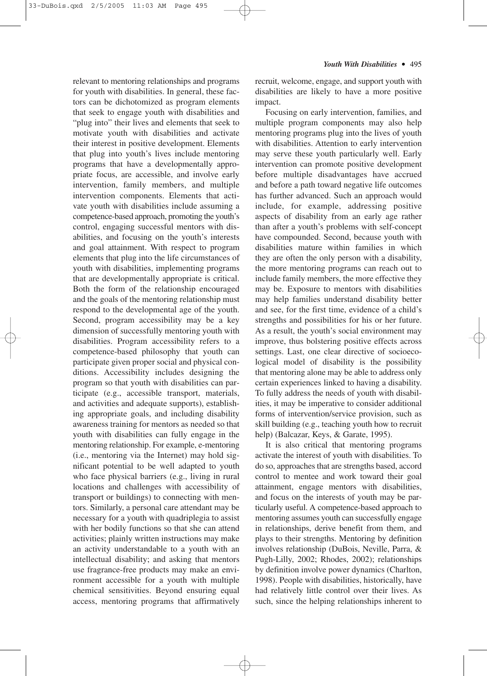relevant to mentoring relationships and programs for youth with disabilities. In general, these factors can be dichotomized as program elements that seek to engage youth with disabilities and "plug into" their lives and elements that seek to motivate youth with disabilities and activate their interest in positive development. Elements that plug into youth's lives include mentoring programs that have a developmentally appropriate focus, are accessible, and involve early intervention, family members, and multiple intervention components. Elements that activate youth with disabilities include assuming a competence-based approach, promoting the youth's control, engaging successful mentors with disabilities, and focusing on the youth's interests and goal attainment. With respect to program elements that plug into the life circumstances of youth with disabilities, implementing programs that are developmentally appropriate is critical. Both the form of the relationship encouraged and the goals of the mentoring relationship must respond to the developmental age of the youth. Second, program accessibility may be a key dimension of successfully mentoring youth with disabilities. Program accessibility refers to a competence-based philosophy that youth can participate given proper social and physical conditions. Accessibility includes designing the program so that youth with disabilities can participate (e.g., accessible transport, materials, and activities and adequate supports), establishing appropriate goals, and including disability awareness training for mentors as needed so that youth with disabilities can fully engage in the mentoring relationship. For example, e-mentoring (i.e., mentoring via the Internet) may hold significant potential to be well adapted to youth who face physical barriers (e.g., living in rural locations and challenges with accessibility of transport or buildings) to connecting with mentors. Similarly, a personal care attendant may be necessary for a youth with quadriplegia to assist with her bodily functions so that she can attend activities; plainly written instructions may make an activity understandable to a youth with an intellectual disability; and asking that mentors use fragrance-free products may make an environment accessible for a youth with multiple chemical sensitivities. Beyond ensuring equal access, mentoring programs that affirmatively

recruit, welcome, engage, and support youth with disabilities are likely to have a more positive impact.

Focusing on early intervention, families, and multiple program components may also help mentoring programs plug into the lives of youth with disabilities. Attention to early intervention may serve these youth particularly well. Early intervention can promote positive development before multiple disadvantages have accrued and before a path toward negative life outcomes has further advanced. Such an approach would include, for example, addressing positive aspects of disability from an early age rather than after a youth's problems with self-concept have compounded. Second, because youth with disabilities mature within families in which they are often the only person with a disability, the more mentoring programs can reach out to include family members, the more effective they may be. Exposure to mentors with disabilities may help families understand disability better and see, for the first time, evidence of a child's strengths and possibilities for his or her future. As a result, the youth's social environment may improve, thus bolstering positive effects across settings. Last, one clear directive of socioecological model of disability is the possibility that mentoring alone may be able to address only certain experiences linked to having a disability. To fully address the needs of youth with disabilities, it may be imperative to consider additional forms of intervention/service provision, such as skill building (e.g., teaching youth how to recruit help) (Balcazar, Keys, & Garate, 1995).

It is also critical that mentoring programs activate the interest of youth with disabilities. To do so, approaches that are strengths based, accord control to mentee and work toward their goal attainment, engage mentors with disabilities, and focus on the interests of youth may be particularly useful. A competence-based approach to mentoring assumes youth can successfully engage in relationships, derive benefit from them, and plays to their strengths. Mentoring by definition involves relationship (DuBois, Neville, Parra, & Pugh-Lilly, 2002; Rhodes, 2002); relationships by definition involve power dynamics (Charlton, 1998). People with disabilities, historically, have had relatively little control over their lives. As such, since the helping relationships inherent to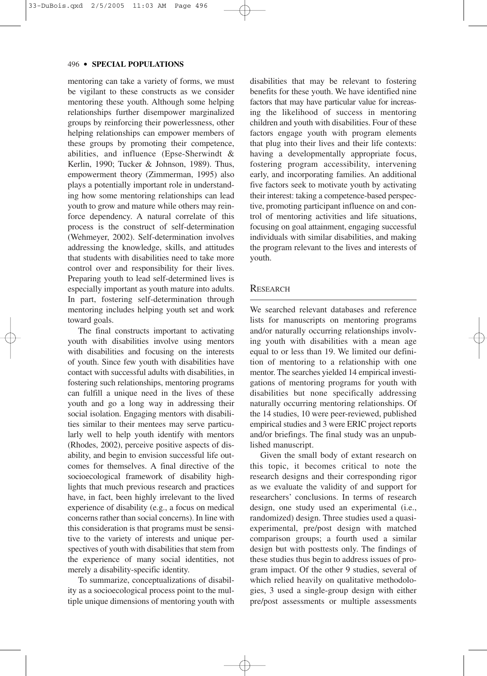mentoring can take a variety of forms, we must be vigilant to these constructs as we consider mentoring these youth. Although some helping relationships further disempower marginalized groups by reinforcing their powerlessness, other helping relationships can empower members of these groups by promoting their competence, abilities, and influence (Epse-Sherwindt & Kerlin, 1990; Tucker & Johnson, 1989). Thus, empowerment theory (Zimmerman, 1995) also plays a potentially important role in understanding how some mentoring relationships can lead youth to grow and mature while others may reinforce dependency. A natural correlate of this process is the construct of self-determination (Wehmeyer, 2002). Self-determination involves addressing the knowledge, skills, and attitudes that students with disabilities need to take more control over and responsibility for their lives. Preparing youth to lead self-determined lives is especially important as youth mature into adults. In part, fostering self-determination through mentoring includes helping youth set and work toward goals.

The final constructs important to activating youth with disabilities involve using mentors with disabilities and focusing on the interests of youth. Since few youth with disabilities have contact with successful adults with disabilities, in fostering such relationships, mentoring programs can fulfill a unique need in the lives of these youth and go a long way in addressing their social isolation. Engaging mentors with disabilities similar to their mentees may serve particularly well to help youth identify with mentors (Rhodes, 2002), perceive positive aspects of disability, and begin to envision successful life outcomes for themselves. A final directive of the socioecological framework of disability highlights that much previous research and practices have, in fact, been highly irrelevant to the lived experience of disability (e.g., a focus on medical concerns rather than social concerns). In line with this consideration is that programs must be sensitive to the variety of interests and unique perspectives of youth with disabilities that stem from the experience of many social identities, not merely a disability-specific identity.

To summarize, conceptualizations of disability as a socioecological process point to the multiple unique dimensions of mentoring youth with disabilities that may be relevant to fostering benefits for these youth. We have identified nine factors that may have particular value for increasing the likelihood of success in mentoring children and youth with disabilities. Four of these factors engage youth with program elements that plug into their lives and their life contexts: having a developmentally appropriate focus, fostering program accessibility, intervening early, and incorporating families. An additional five factors seek to motivate youth by activating their interest: taking a competence-based perspective, promoting participant influence on and control of mentoring activities and life situations, focusing on goal attainment, engaging successful individuals with similar disabilities, and making the program relevant to the lives and interests of youth.

#### RESEARCH

We searched relevant databases and reference lists for manuscripts on mentoring programs and/or naturally occurring relationships involving youth with disabilities with a mean age equal to or less than 19. We limited our definition of mentoring to a relationship with one mentor. The searches yielded 14 empirical investigations of mentoring programs for youth with disabilities but none specifically addressing naturally occurring mentoring relationships. Of the 14 studies, 10 were peer-reviewed, published empirical studies and 3 were ERIC project reports and/or briefings. The final study was an unpublished manuscript.

Given the small body of extant research on this topic, it becomes critical to note the research designs and their corresponding rigor as we evaluate the validity of and support for researchers' conclusions. In terms of research design, one study used an experimental (i.e., randomized) design. Three studies used a quasiexperimental, pre/post design with matched comparison groups; a fourth used a similar design but with posttests only. The findings of these studies thus begin to address issues of program impact. Of the other 9 studies, several of which relied heavily on qualitative methodologies, 3 used a single-group design with either pre/post assessments or multiple assessments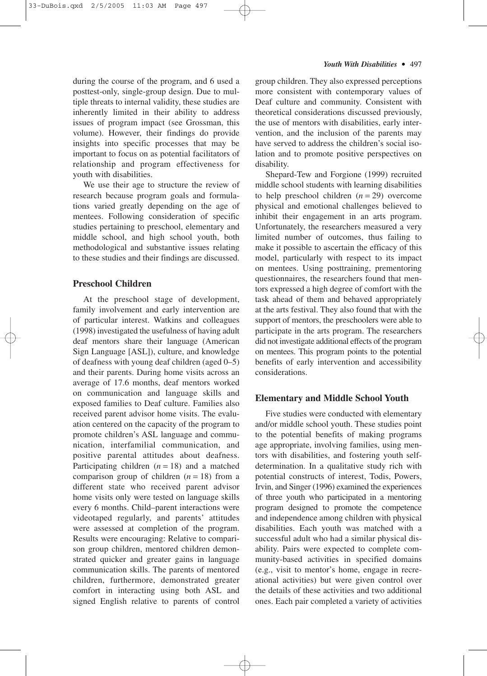during the course of the program, and 6 used a posttest-only, single-group design. Due to multiple threats to internal validity, these studies are inherently limited in their ability to address issues of program impact (see Grossman, this volume). However, their findings do provide insights into specific processes that may be important to focus on as potential facilitators of relationship and program effectiveness for youth with disabilities.

We use their age to structure the review of research because program goals and formulations varied greatly depending on the age of mentees. Following consideration of specific studies pertaining to preschool, elementary and middle school, and high school youth, both methodological and substantive issues relating to these studies and their findings are discussed.

#### **Preschool Children**

At the preschool stage of development, family involvement and early intervention are of particular interest. Watkins and colleagues (1998) investigated the usefulness of having adult deaf mentors share their language (American Sign Language [ASL]), culture, and knowledge of deafness with young deaf children (aged 0–5) and their parents. During home visits across an average of 17.6 months, deaf mentors worked on communication and language skills and exposed families to Deaf culture. Families also received parent advisor home visits. The evaluation centered on the capacity of the program to promote children's ASL language and communication, interfamilial communication, and positive parental attitudes about deafness. Participating children  $(n = 18)$  and a matched comparison group of children  $(n = 18)$  from a different state who received parent advisor home visits only were tested on language skills every 6 months. Child–parent interactions were videotaped regularly, and parents' attitudes were assessed at completion of the program. Results were encouraging: Relative to comparison group children, mentored children demonstrated quicker and greater gains in language communication skills. The parents of mentored children, furthermore, demonstrated greater comfort in interacting using both ASL and signed English relative to parents of control group children. They also expressed perceptions more consistent with contemporary values of Deaf culture and community. Consistent with theoretical considerations discussed previously, the use of mentors with disabilities, early intervention, and the inclusion of the parents may have served to address the children's social isolation and to promote positive perspectives on disability.

Shepard-Tew and Forgione (1999) recruited middle school students with learning disabilities to help preschool children (*n* = 29) overcome physical and emotional challenges believed to inhibit their engagement in an arts program. Unfortunately, the researchers measured a very limited number of outcomes, thus failing to make it possible to ascertain the efficacy of this model, particularly with respect to its impact on mentees. Using posttraining, prementoring questionnaires, the researchers found that mentors expressed a high degree of comfort with the task ahead of them and behaved appropriately at the arts festival. They also found that with the support of mentors, the preschoolers were able to participate in the arts program. The researchers did not investigate additional effects of the program on mentees. This program points to the potential benefits of early intervention and accessibility considerations.

### **Elementary and Middle School Youth**

Five studies were conducted with elementary and/or middle school youth. These studies point to the potential benefits of making programs age appropriate, involving families, using mentors with disabilities, and fostering youth selfdetermination. In a qualitative study rich with potential constructs of interest, Todis, Powers, Irvin, and Singer (1996) examined the experiences of three youth who participated in a mentoring program designed to promote the competence and independence among children with physical disabilities. Each youth was matched with a successful adult who had a similar physical disability. Pairs were expected to complete community-based activities in specified domains (e.g., visit to mentor's home, engage in recreational activities) but were given control over the details of these activities and two additional ones. Each pair completed a variety of activities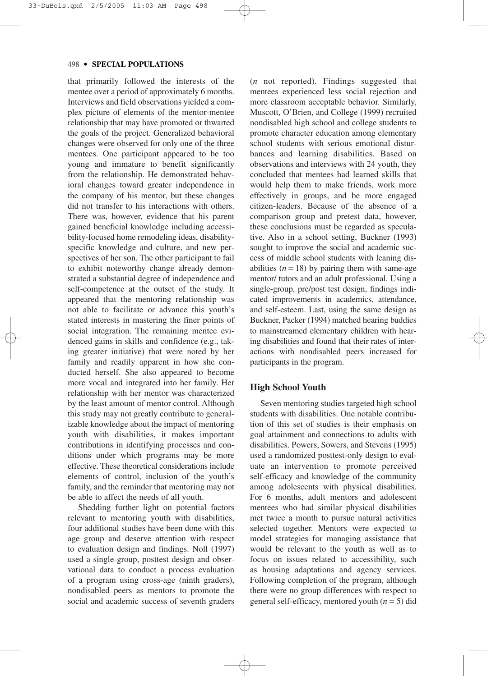that primarily followed the interests of the mentee over a period of approximately 6 months. Interviews and field observations yielded a complex picture of elements of the mentor-mentee relationship that may have promoted or thwarted the goals of the project. Generalized behavioral changes were observed for only one of the three mentees. One participant appeared to be too young and immature to benefit significantly from the relationship. He demonstrated behavioral changes toward greater independence in the company of his mentor, but these changes did not transfer to his interactions with others. There was, however, evidence that his parent gained beneficial knowledge including accessibility-focused home remodeling ideas, disabilityspecific knowledge and culture, and new perspectives of her son. The other participant to fail to exhibit noteworthy change already demonstrated a substantial degree of independence and self-competence at the outset of the study. It appeared that the mentoring relationship was not able to facilitate or advance this youth's stated interests in mastering the finer points of social integration. The remaining mentee evidenced gains in skills and confidence (e.g., taking greater initiative) that were noted by her family and readily apparent in how she conducted herself. She also appeared to become more vocal and integrated into her family. Her relationship with her mentor was characterized by the least amount of mentor control. Although this study may not greatly contribute to generalizable knowledge about the impact of mentoring youth with disabilities, it makes important contributions in identifying processes and conditions under which programs may be more effective. These theoretical considerations include elements of control, inclusion of the youth's family, and the reminder that mentoring may not be able to affect the needs of all youth.

Shedding further light on potential factors relevant to mentoring youth with disabilities, four additional studies have been done with this age group and deserve attention with respect to evaluation design and findings. Noll (1997) used a single-group, posttest design and observational data to conduct a process evaluation of a program using cross-age (ninth graders), nondisabled peers as mentors to promote the social and academic success of seventh graders (*n* not reported). Findings suggested that mentees experienced less social rejection and more classroom acceptable behavior. Similarly, Muscott, O'Brien, and College (1999) recruited nondisabled high school and college students to promote character education among elementary school students with serious emotional disturbances and learning disabilities. Based on observations and interviews with 24 youth, they concluded that mentees had learned skills that would help them to make friends, work more effectively in groups, and be more engaged citizen-leaders. Because of the absence of a comparison group and pretest data, however, these conclusions must be regarded as speculative. Also in a school setting, Buckner (1993) sought to improve the social and academic success of middle school students with leaning disabilities  $(n = 18)$  by pairing them with same-age mentor/ tutors and an adult professional. Using a single-group, pre/post test design, findings indicated improvements in academics, attendance, and self-esteem. Last, using the same design as Buckner, Packer (1994) matched hearing buddies to mainstreamed elementary children with hearing disabilities and found that their rates of interactions with nondisabled peers increased for participants in the program.

#### **High School Youth**

Seven mentoring studies targeted high school students with disabilities. One notable contribution of this set of studies is their emphasis on goal attainment and connections to adults with disabilities. Powers, Sowers, and Stevens (1995) used a randomized posttest-only design to evaluate an intervention to promote perceived self-efficacy and knowledge of the community among adolescents with physical disabilities. For 6 months, adult mentors and adolescent mentees who had similar physical disabilities met twice a month to pursue natural activities selected together. Mentors were expected to model strategies for managing assistance that would be relevant to the youth as well as to focus on issues related to accessibility, such as housing adaptations and agency services. Following completion of the program, although there were no group differences with respect to general self-efficacy, mentored youth (*n* = 5) did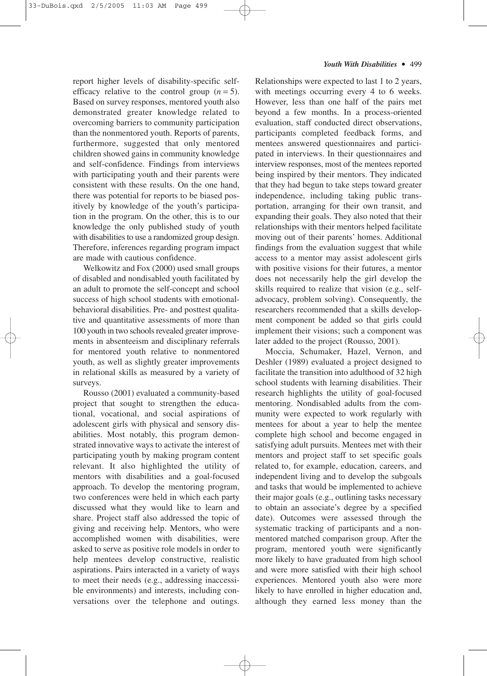report higher levels of disability-specific selfefficacy relative to the control group  $(n = 5)$ . Based on survey responses, mentored youth also demonstrated greater knowledge related to overcoming barriers to community participation than the nonmentored youth. Reports of parents, furthermore, suggested that only mentored children showed gains in community knowledge and self-confidence. Findings from interviews with participating youth and their parents were consistent with these results. On the one hand, there was potential for reports to be biased positively by knowledge of the youth's participation in the program. On the other, this is to our knowledge the only published study of youth with disabilities to use a randomized group design. Therefore, inferences regarding program impact are made with cautious confidence.

Welkowitz and Fox (2000) used small groups of disabled and nondisabled youth facilitated by an adult to promote the self-concept and school success of high school students with emotionalbehavioral disabilities. Pre- and posttest qualitative and quantitative assessments of more than 100 youth in two schools revealed greater improvements in absenteeism and disciplinary referrals for mentored youth relative to nonmentored youth, as well as slightly greater improvements in relational skills as measured by a variety of surveys.

Rousso (2001) evaluated a community-based project that sought to strengthen the educational, vocational, and social aspirations of adolescent girls with physical and sensory disabilities. Most notably, this program demonstrated innovative ways to activate the interest of participating youth by making program content relevant. It also highlighted the utility of mentors with disabilities and a goal-focused approach. To develop the mentoring program, two conferences were held in which each party discussed what they would like to learn and share. Project staff also addressed the topic of giving and receiving help. Mentors, who were accomplished women with disabilities, were asked to serve as positive role models in order to help mentees develop constructive, realistic aspirations. Pairs interacted in a variety of ways to meet their needs (e.g., addressing inaccessible environments) and interests, including conversations over the telephone and outings.

Relationships were expected to last 1 to 2 years, with meetings occurring every 4 to 6 weeks. However, less than one half of the pairs met beyond a few months. In a process-oriented evaluation, staff conducted direct observations, participants completed feedback forms, and mentees answered questionnaires and participated in interviews. In their questionnaires and interview responses, most of the mentees reported being inspired by their mentors. They indicated that they had begun to take steps toward greater independence, including taking public transportation, arranging for their own transit, and expanding their goals. They also noted that their relationships with their mentors helped facilitate moving out of their parents' homes. Additional findings from the evaluation suggest that while access to a mentor may assist adolescent girls with positive visions for their futures, a mentor does not necessarily help the girl develop the skills required to realize that vision (e.g., selfadvocacy, problem solving). Consequently, the researchers recommended that a skills development component be added so that girls could implement their visions; such a component was later added to the project (Rousso, 2001).

Moccia, Schumaker, Hazel, Vernon, and Deshler (1989) evaluated a project designed to facilitate the transition into adulthood of 32 high school students with learning disabilities. Their research highlights the utility of goal-focused mentoring. Nondisabled adults from the community were expected to work regularly with mentees for about a year to help the mentee complete high school and become engaged in satisfying adult pursuits. Mentees met with their mentors and project staff to set specific goals related to, for example, education, careers, and independent living and to develop the subgoals and tasks that would be implemented to achieve their major goals (e.g., outlining tasks necessary to obtain an associate's degree by a specified date). Outcomes were assessed through the systematic tracking of participants and a nonmentored matched comparison group. After the program, mentored youth were significantly more likely to have graduated from high school and were more satisfied with their high school experiences. Mentored youth also were more likely to have enrolled in higher education and, although they earned less money than the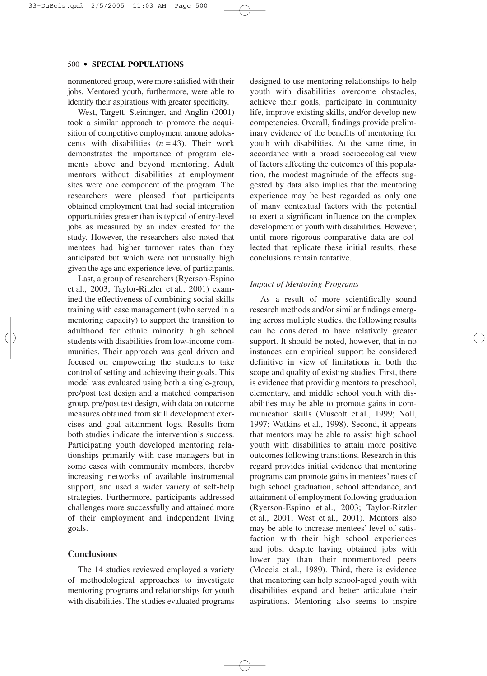nonmentored group, were more satisfied with their jobs. Mentored youth, furthermore, were able to identify their aspirations with greater specificity.

West, Targett, Steininger, and Anglin (2001) took a similar approach to promote the acquisition of competitive employment among adolescents with disabilities  $(n = 43)$ . Their work demonstrates the importance of program elements above and beyond mentoring. Adult mentors without disabilities at employment sites were one component of the program. The researchers were pleased that participants obtained employment that had social integration opportunities greater than is typical of entry-level jobs as measured by an index created for the study. However, the researchers also noted that mentees had higher turnover rates than they anticipated but which were not unusually high given the age and experience level of participants.

Last, a group of researchers (Ryerson-Espino et al., 2003; Taylor-Ritzler et al., 2001) examined the effectiveness of combining social skills training with case management (who served in a mentoring capacity) to support the transition to adulthood for ethnic minority high school students with disabilities from low-income communities. Their approach was goal driven and focused on empowering the students to take control of setting and achieving their goals. This model was evaluated using both a single-group, pre/post test design and a matched comparison group, pre/post test design, with data on outcome measures obtained from skill development exercises and goal attainment logs. Results from both studies indicate the intervention's success. Participating youth developed mentoring relationships primarily with case managers but in some cases with community members, thereby increasing networks of available instrumental support, and used a wider variety of self-help strategies. Furthermore, participants addressed challenges more successfully and attained more of their employment and independent living goals.

#### **Conclusions**

The 14 studies reviewed employed a variety of methodological approaches to investigate mentoring programs and relationships for youth with disabilities. The studies evaluated programs designed to use mentoring relationships to help youth with disabilities overcome obstacles, achieve their goals, participate in community life, improve existing skills, and/or develop new competencies. Overall, findings provide preliminary evidence of the benefits of mentoring for youth with disabilities. At the same time, in accordance with a broad socioecological view of factors affecting the outcomes of this population, the modest magnitude of the effects suggested by data also implies that the mentoring experience may be best regarded as only one of many contextual factors with the potential to exert a significant influence on the complex development of youth with disabilities. However, until more rigorous comparative data are collected that replicate these initial results, these conclusions remain tentative.

#### *Impact of Mentoring Programs*

As a result of more scientifically sound research methods and/or similar findings emerging across multiple studies, the following results can be considered to have relatively greater support. It should be noted, however, that in no instances can empirical support be considered definitive in view of limitations in both the scope and quality of existing studies. First, there is evidence that providing mentors to preschool, elementary, and middle school youth with disabilities may be able to promote gains in communication skills (Muscott et al., 1999; Noll, 1997; Watkins et al., 1998). Second, it appears that mentors may be able to assist high school youth with disabilities to attain more positive outcomes following transitions. Research in this regard provides initial evidence that mentoring programs can promote gains in mentees' rates of high school graduation, school attendance, and attainment of employment following graduation (Ryerson-Espino et al., 2003; Taylor-Ritzler et al., 2001; West et al., 2001). Mentors also may be able to increase mentees' level of satisfaction with their high school experiences and jobs, despite having obtained jobs with lower pay than their nonmentored peers (Moccia et al., 1989). Third, there is evidence that mentoring can help school-aged youth with disabilities expand and better articulate their aspirations. Mentoring also seems to inspire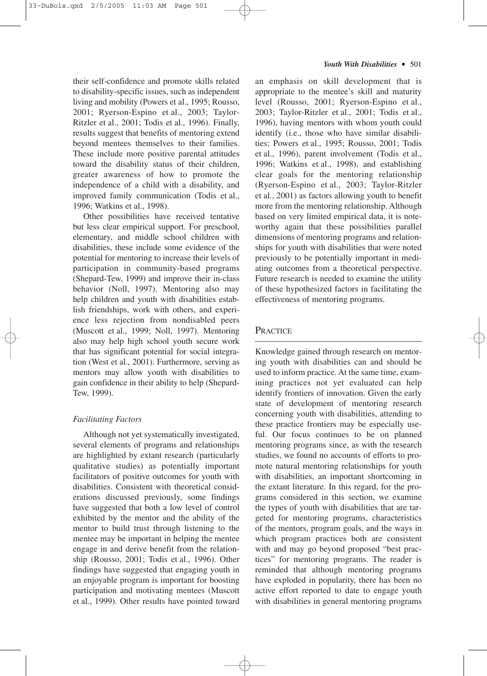their self-confidence and promote skills related to disability-specific issues, such as independent living and mobility (Powers et al., 1995; Rousso, 2001; Ryerson-Espino et al., 2003; Taylor-Ritzler et al., 2001; Todis et al., 1996). Finally, results suggest that benefits of mentoring extend beyond mentees themselves to their families. These include more positive parental attitudes toward the disability status of their children, greater awareness of how to promote the independence of a child with a disability, and improved family communication (Todis et al., 1996; Watkins et al., 1998).

Other possibilities have received tentative but less clear empirical support. For preschool, elementary, and middle school children with disabilities, these include some evidence of the potential for mentoring to increase their levels of participation in community-based programs (Shepard-Tew, 1999) and improve their in-class behavior (Noll, 1997). Mentoring also may help children and youth with disabilities establish friendships, work with others, and experience less rejection from nondisabled peers (Muscott et al., 1999; Noll, 1997). Mentoring also may help high school youth secure work that has significant potential for social integration (West et al., 2001). Furthermore, serving as mentors may allow youth with disabilities to gain confidence in their ability to help (Shepard-Tew, 1999).

# *Facilitating Factors*

Although not yet systematically investigated, several elements of programs and relationships are highlighted by extant research (particularly qualitative studies) as potentially important facilitators of positive outcomes for youth with disabilities. Consistent with theoretical considerations discussed previously, some findings have suggested that both a low level of control exhibited by the mentor and the ability of the mentor to build trust through listening to the mentee may be important in helping the mentee engage in and derive benefit from the relationship (Rousso, 2001; Todis et al., 1996). Other findings have suggested that engaging youth in an enjoyable program is important for boosting participation and motivating mentees (Muscott et al., 1999). Other results have pointed toward

an emphasis on skill development that is appropriate to the mentee's skill and maturity level (Rousso, 2001; Ryerson-Espino et al., 2003; Taylor-Ritzler et al., 2001; Todis et al., 1996), having mentors with whom youth could identify (i.e., those who have similar disabilities; Powers et al., 1995; Rousso, 2001; Todis et al., 1996), parent involvement (Todis et al., 1996; Watkins et al., 1998), and establishing clear goals for the mentoring relationship (Ryerson-Espino et al., 2003; Taylor-Ritzler et al., 2001) as factors allowing youth to benefit more from the mentoring relationship. Although based on very limited empirical data, it is noteworthy again that these possibilities parallel dimensions of mentoring programs and relationships for youth with disabilities that were noted previously to be potentially important in mediating outcomes from a theoretical perspective. Future research is needed to examine the utility of these hypothesized factors in facilitating the effectiveness of mentoring programs.

# **PRACTICE**

Knowledge gained through research on mentoring youth with disabilities can and should be used to inform practice. At the same time, examining practices not yet evaluated can help identify frontiers of innovation. Given the early state of development of mentoring research concerning youth with disabilities, attending to these practice frontiers may be especially useful. Our focus continues to be on planned mentoring programs since, as with the research studies, we found no accounts of efforts to promote natural mentoring relationships for youth with disabilities, an important shortcoming in the extant literature. In this regard, for the programs considered in this section, we examine the types of youth with disabilities that are targeted for mentoring programs, characteristics of the mentors, program goals, and the ways in which program practices both are consistent with and may go beyond proposed "best practices" for mentoring programs. The reader is reminded that although mentoring programs have exploded in popularity, there has been no active effort reported to date to engage youth with disabilities in general mentoring programs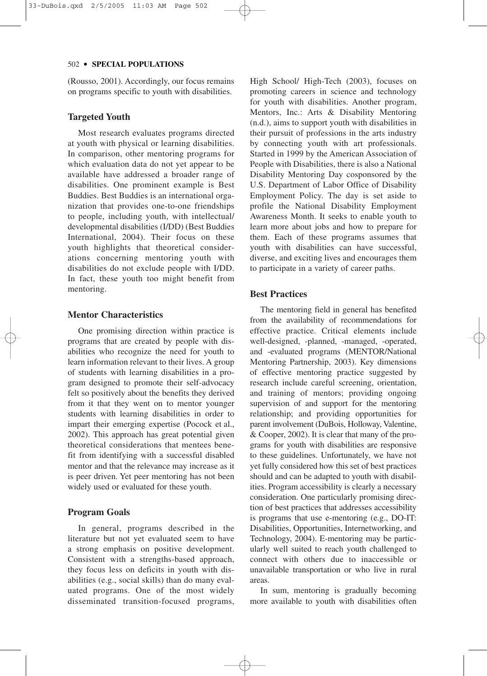(Rousso, 2001). Accordingly, our focus remains on programs specific to youth with disabilities.

## **Targeted Youth**

Most research evaluates programs directed at youth with physical or learning disabilities. In comparison, other mentoring programs for which evaluation data do not yet appear to be available have addressed a broader range of disabilities. One prominent example is Best Buddies. Best Buddies is an international organization that provides one-to-one friendships to people, including youth, with intellectual/ developmental disabilities (I/DD) (Best Buddies International, 2004). Their focus on these youth highlights that theoretical considerations concerning mentoring youth with disabilities do not exclude people with I/DD. In fact, these youth too might benefit from mentoring.

# **Mentor Characteristics**

One promising direction within practice is programs that are created by people with disabilities who recognize the need for youth to learn information relevant to their lives. A group of students with learning disabilities in a program designed to promote their self-advocacy felt so positively about the benefits they derived from it that they went on to mentor younger students with learning disabilities in order to impart their emerging expertise (Pocock et al., 2002). This approach has great potential given theoretical considerations that mentees benefit from identifying with a successful disabled mentor and that the relevance may increase as it is peer driven. Yet peer mentoring has not been widely used or evaluated for these youth.

# **Program Goals**

In general, programs described in the literature but not yet evaluated seem to have a strong emphasis on positive development. Consistent with a strengths-based approach, they focus less on deficits in youth with disabilities (e.g., social skills) than do many evaluated programs. One of the most widely disseminated transition-focused programs, High School/ High-Tech (2003), focuses on promoting careers in science and technology for youth with disabilities. Another program, Mentors, Inc.: Arts & Disability Mentoring (n.d.), aims to support youth with disabilities in their pursuit of professions in the arts industry by connecting youth with art professionals. Started in 1999 by the American Association of People with Disabilities, there is also a National Disability Mentoring Day cosponsored by the U.S. Department of Labor Office of Disability Employment Policy. The day is set aside to profile the National Disability Employment Awareness Month. It seeks to enable youth to learn more about jobs and how to prepare for them. Each of these programs assumes that youth with disabilities can have successful, diverse, and exciting lives and encourages them to participate in a variety of career paths.

# **Best Practices**

The mentoring field in general has benefited from the availability of recommendations for effective practice. Critical elements include well-designed, -planned, -managed, -operated, and -evaluated programs (MENTOR/National Mentoring Partnership, 2003). Key dimensions of effective mentoring practice suggested by research include careful screening, orientation, and training of mentors; providing ongoing supervision of and support for the mentoring relationship; and providing opportunities for parent involvement (DuBois, Holloway, Valentine, & Cooper, 2002). It is clear that many of the programs for youth with disabilities are responsive to these guidelines. Unfortunately, we have not yet fully considered how this set of best practices should and can be adapted to youth with disabilities. Program accessibility is clearly a necessary consideration. One particularly promising direction of best practices that addresses accessibility is programs that use e-mentoring (e.g., DO-IT: Disabilities, Opportunities, Internetworking, and Technology, 2004). E-mentoring may be particularly well suited to reach youth challenged to connect with others due to inaccessible or unavailable transportation or who live in rural areas.

In sum, mentoring is gradually becoming more available to youth with disabilities often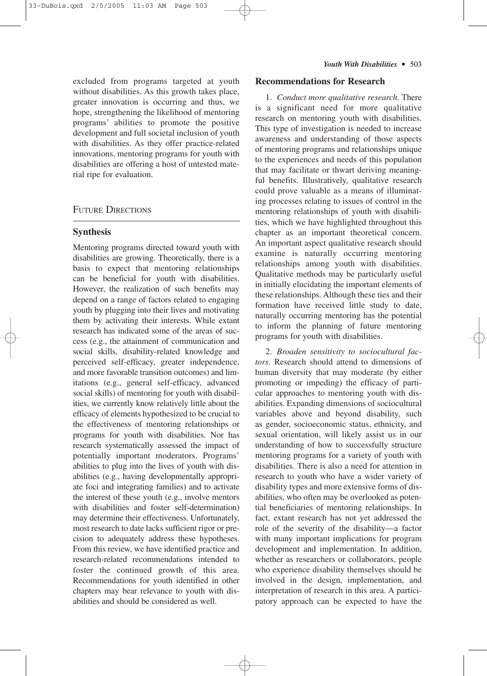excluded from programs targeted at youth without disabilities. As this growth takes place, greater innovation is occurring and thus, we hope, strengthening the likelihood of mentoring programs' abilities to promote the positive development and full societal inclusion of youth with disabilities. As they offer practice-related innovations, mentoring programs for youth with disabilities are offering a host of untested material ripe for evaluation.

# FUTURE DIRECTIONS

#### **Synthesis**

Mentoring programs directed toward youth with disabilities are growing. Theoretically, there is a basis to expect that mentoring relationships can be beneficial for youth with disabilities. However, the realization of such benefits may depend on a range of factors related to engaging youth by plugging into their lives and motivating them by activating their interests. While extant research has indicated some of the areas of success (e.g., the attainment of communication and social skills, disability-related knowledge and perceived self-efficacy, greater independence, and more favorable transition outcomes) and limitations (e.g., general self-efficacy, advanced social skills) of mentoring for youth with disabilities, we currently know relatively little about the efficacy of elements hypothesized to be crucial to the effectiveness of mentoring relationships or programs for youth with disabilities. Nor has research systematically assessed the impact of potentially important moderators. Programs' abilities to plug into the lives of youth with disabilities (e.g., having developmentally appropriate foci and integrating families) and to activate the interest of these youth (e.g., involve mentors with disabilities and foster self-determination) may determine their effectiveness. Unfortunately, most research to date lacks sufficient rigor or precision to adequately address these hypotheses. From this review, we have identified practice and research-related recommendations intended to foster the continued growth of this area. Recommendations for youth identified in other chapters may bear relevance to youth with disabilities and should be considered as well.

#### **Recommendations for Research**

1. *Conduct more qualitative research.* There is a significant need for more qualitative research on mentoring youth with disabilities. This type of investigation is needed to increase awareness and understanding of those aspects of mentoring programs and relationships unique to the experiences and needs of this population that may facilitate or thwart deriving meaningful benefits. Illustratively, qualitative research could prove valuable as a means of illuminating processes relating to issues of control in the mentoring relationships of youth with disabilities, which we have highlighted throughout this chapter as an important theoretical concern. An important aspect qualitative research should examine is naturally occurring mentoring relationships among youth with disabilities. Qualitative methods may be particularly useful in initially elucidating the important elements of these relationships. Although these ties and their formation have received little study to date, naturally occurring mentoring has the potential to inform the planning of future mentoring programs for youth with disabilities.

2. *Broaden sensitivity to sociocultural factors.* Research should attend to dimensions of human diversity that may moderate (by either promoting or impeding) the efficacy of particular approaches to mentoring youth with disabilities. Expanding dimensions of sociocultural variables above and beyond disability, such as gender, socioeconomic status, ethnicity, and sexual orientation, will likely assist us in our understanding of how to successfully structure mentoring programs for a variety of youth with disabilities. There is also a need for attention in research to youth who have a wider variety of disability types and more extensive forms of disabilities, who often may be overlooked as potential beneficiaries of mentoring relationships. In fact, extant research has not yet addressed the role of the severity of the disability—a factor with many important implications for program development and implementation. In addition, whether as researchers or collaborators, people who experience disability themselves should be involved in the design, implementation, and interpretation of research in this area. A participatory approach can be expected to have the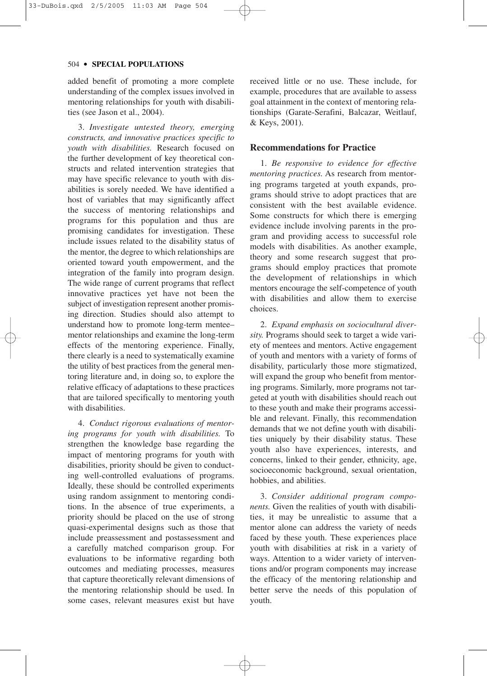added benefit of promoting a more complete understanding of the complex issues involved in mentoring relationships for youth with disabilities (see Jason et al., 2004).

3. *Investigate untested theory, emerging constructs, and innovative practices specific to youth with disabilities.* Research focused on the further development of key theoretical constructs and related intervention strategies that may have specific relevance to youth with disabilities is sorely needed. We have identified a host of variables that may significantly affect the success of mentoring relationships and programs for this population and thus are promising candidates for investigation. These include issues related to the disability status of the mentor, the degree to which relationships are oriented toward youth empowerment, and the integration of the family into program design. The wide range of current programs that reflect innovative practices yet have not been the subject of investigation represent another promising direction. Studies should also attempt to understand how to promote long-term mentee– mentor relationships and examine the long-term effects of the mentoring experience. Finally, there clearly is a need to systematically examine the utility of best practices from the general mentoring literature and, in doing so, to explore the relative efficacy of adaptations to these practices that are tailored specifically to mentoring youth with disabilities.

4. *Conduct rigorous evaluations of mentoring programs for youth with disabilities.* To strengthen the knowledge base regarding the impact of mentoring programs for youth with disabilities, priority should be given to conducting well-controlled evaluations of programs. Ideally, these should be controlled experiments using random assignment to mentoring conditions. In the absence of true experiments, a priority should be placed on the use of strong quasi-experimental designs such as those that include preassessment and postassessment and a carefully matched comparison group. For evaluations to be informative regarding both outcomes and mediating processes, measures that capture theoretically relevant dimensions of the mentoring relationship should be used. In some cases, relevant measures exist but have received little or no use. These include, for example, procedures that are available to assess goal attainment in the context of mentoring relationships (Garate-Serafini, Balcazar, Weitlauf, & Keys, 2001).

## **Recommendations for Practice**

1. *Be responsive to evidence for effective mentoring practices.* As research from mentoring programs targeted at youth expands, programs should strive to adopt practices that are consistent with the best available evidence. Some constructs for which there is emerging evidence include involving parents in the program and providing access to successful role models with disabilities. As another example, theory and some research suggest that programs should employ practices that promote the development of relationships in which mentors encourage the self-competence of youth with disabilities and allow them to exercise choices.

2. *Expand emphasis on sociocultural diversity.* Programs should seek to target a wide variety of mentees and mentors. Active engagement of youth and mentors with a variety of forms of disability, particularly those more stigmatized, will expand the group who benefit from mentoring programs. Similarly, more programs not targeted at youth with disabilities should reach out to these youth and make their programs accessible and relevant. Finally, this recommendation demands that we not define youth with disabilities uniquely by their disability status. These youth also have experiences, interests, and concerns, linked to their gender, ethnicity, age, socioeconomic background, sexual orientation, hobbies, and abilities.

3. *Consider additional program components.* Given the realities of youth with disabilities, it may be unrealistic to assume that a mentor alone can address the variety of needs faced by these youth. These experiences place youth with disabilities at risk in a variety of ways. Attention to a wider variety of interventions and/or program components may increase the efficacy of the mentoring relationship and better serve the needs of this population of youth.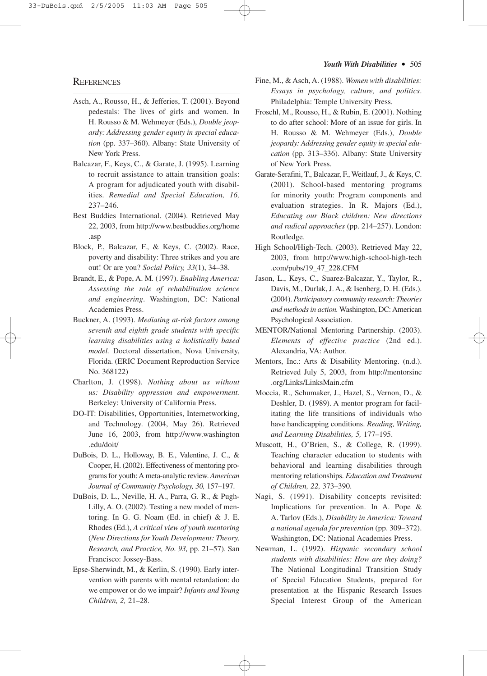#### **REFERENCES**

- Asch, A., Rousso, H., & Jefferies, T. (2001). Beyond pedestals: The lives of girls and women. In H. Rousso & M. Wehmeyer (Eds.), *Double jeopardy: Addressing gender equity in special education* (pp. 337–360). Albany: State University of New York Press.
- Balcazar, F., Keys, C., & Garate, J. (1995). Learning to recruit assistance to attain transition goals: A program for adjudicated youth with disabilities. *Remedial and Special Education, 16,* 237–246.
- Best Buddies International. (2004). Retrieved May 22, 2003, from http://www.bestbuddies.org/home .asp
- Block, P., Balcazar, F., & Keys, C. (2002). Race, poverty and disability: Three strikes and you are out! Or are you? *Social Policy, 33*(1), 34–38.
- Brandt, E., & Pope, A. M. (1997). *Enabling America: Assessing the role of rehabilitation science and engineering*. Washington, DC: National Academies Press.
- Buckner, A. (1993). *Mediating at-risk factors among seventh and eighth grade students with specific learning disabilities using a holistically based model.* Doctoral dissertation, Nova University, Florida. (ERIC Document Reproduction Service No. 368122)
- Charlton, J. (1998). *Nothing about us without us: Disability oppression and empowerment.* Berkeley: University of California Press.
- DO-IT: Disabilities, Opportunities, Internetworking, and Technology. (2004, May 26). Retrieved June 16, 2003, from http://www.washington .edu/doit/
- DuBois, D. L., Holloway, B. E., Valentine, J. C., & Cooper, H. (2002). Effectiveness of mentoring programs for youth:A meta-analytic review. *American Journal of Community Psychology, 30,* 157–197.
- DuBois, D. L., Neville, H. A., Parra, G. R., & Pugh-Lilly, A. O. (2002). Testing a new model of mentoring. In G. G. Noam (Ed. in chief) & J. E. Rhodes (Ed.), *A critical view of youth mentoring* (*New Directions for Youth Development: Theory, Research, and Practice, No. 93,* pp. 21–57). San Francisco: Jossey-Bass.
- Epse-Sherwindt, M., & Kerlin, S. (1990). Early intervention with parents with mental retardation: do we empower or do we impair? *Infants and Young Children, 2,* 21–28.
- Fine, M., & Asch, A. (1988). *Women with disabilities: Essays in psychology, culture, and politics*. Philadelphia: Temple University Press.
- Froschl, M., Rousso, H., & Rubin, E. (2001). Nothing to do after school: More of an issue for girls. In H. Rousso & M. Wehmeyer (Eds.), *Double jeopardy: Addressing gender equity in special education* (pp. 313–336). Albany: State University of New York Press.
- Garate-Serafini, T., Balcazar, F., Weitlauf, J., & Keys, C. (2001). School-based mentoring programs for minority youth: Program components and evaluation strategies. In R. Majors (Ed.), *Educating our Black children: New directions and radical approaches* (pp. 214–257). London: Routledge.
- High School/High-Tech. (2003). Retrieved May 22, 2003, from http://www.high-school-high-tech .com/pubs/19\_47\_228.CFM
- Jason, L., Keys, C., Suarez-Balcazar, Y., Taylor, R., Davis, M., Durlak, J. A., & Isenberg, D. H. (Eds.). (2004). *Participatory community research: Theories and methods in action.* Washington, DC: American Psychological Association.
- MENTOR/National Mentoring Partnership. (2003). *Elements of effective practice* (2nd ed.). Alexandria, VA: Author.
- Mentors, Inc.: Arts & Disability Mentoring. (n.d.). Retrieved July 5, 2003, from http://mentorsinc .org/Links/LinksMain.cfm
- Moccia, R., Schumaker, J., Hazel, S., Vernon, D., & Deshler, D. (1989). A mentor program for facilitating the life transitions of individuals who have handicapping conditions. *Reading, Writing, and Learning Disabilities, 5,* 177–195.
- Muscott, H., O'Brien, S., & College, R. (1999). Teaching character education to students with behavioral and learning disabilities through mentoring relationships. *Education and Treatment of Children, 22,* 373–390.
- Nagi, S. (1991). Disability concepts revisited: Implications for prevention. In A. Pope & A. Tarlov (Eds.), *Disability in America: Toward a national agenda for prevention* (pp. 309–372). Washington, DC: National Academies Press.
- Newman, L. (1992). *Hispanic secondary school students with disabilities: How are they doing?* The National Longitudinal Transition Study of Special Education Students, prepared for presentation at the Hispanic Research Issues Special Interest Group of the American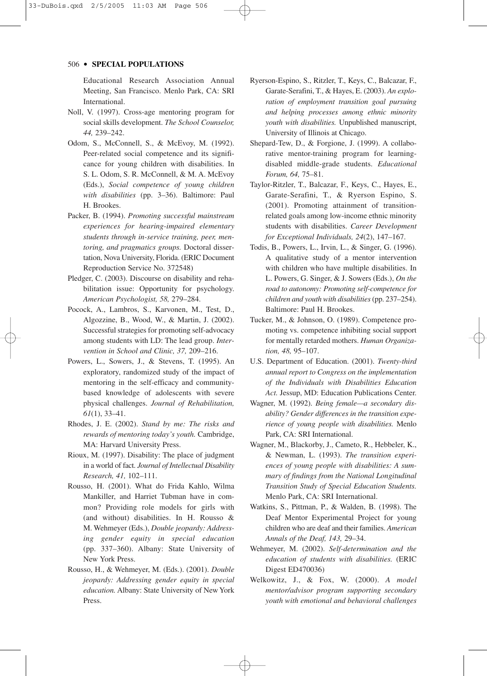Educational Research Association Annual Meeting, San Francisco. Menlo Park, CA: SRI International.

- Noll, V. (1997). Cross-age mentoring program for social skills development. *The School Counselor, 44,* 239–242.
- Odom, S., McConnell, S., & McEvoy, M. (1992). Peer-related social competence and its significance for young children with disabilities. In S. L. Odom, S. R. McConnell, & M. A. McEvoy (Eds.), *Social competence of young children with disabilities* (pp. 3–36). Baltimore: Paul H. Brookes.
- Packer, B. (1994). *Promoting successful mainstream experiences for hearing-impaired elementary students through in-service training, peer, mentoring, and pragmatics groups.* Doctoral dissertation, Nova University, Florida. (ERIC Document Reproduction Service No. 372548)
- Pledger, C. (2003). Discourse on disability and rehabilitation issue: Opportunity for psychology. *American Psychologist, 58,* 279–284.
- Pocock, A., Lambros, S., Karvonen, M., Test, D., Algozzine, B., Wood, W., & Martin, J. (2002). Successful strategies for promoting self-advocacy among students with LD: The lead group. *Intervention in School and Clinic, 37,* 209–216.
- Powers, L., Sowers, J., & Stevens, T. (1995). An exploratory, randomized study of the impact of mentoring in the self-efficacy and communitybased knowledge of adolescents with severe physical challenges. *Journal of Rehabilitation, 61*(1), 33–41.
- Rhodes, J. E. (2002). *Stand by me: The risks and rewards of mentoring today's youth.* Cambridge, MA: Harvard University Press.
- Rioux, M. (1997). Disability: The place of judgment in a world of fact. *Journal of Intellectual Disability Research, 41,* 102–111.
- Rousso, H. (2001). What do Frida Kahlo, Wilma Mankiller, and Harriet Tubman have in common? Providing role models for girls with (and without) disabilities. In H. Rousso & M. Wehmeyer (Eds.), *Double jeopardy: Addressing gender equity in special education* (pp. 337–360). Albany: State University of New York Press.
- Rousso, H., & Wehmeyer, M. (Eds.). (2001). *Double jeopardy: Addressing gender equity in special education.* Albany: State University of New York Press.
- Ryerson-Espino, S., Ritzler, T., Keys, C., Balcazar, F., Garate-Serafini, T., & Hayes, E. (2003). *An exploration of employment transition goal pursuing and helping processes among ethnic minority youth with disabilities.* Unpublished manuscript, University of Illinois at Chicago.
- Shepard-Tew, D., & Forgione, J. (1999). A collaborative mentor-training program for learningdisabled middle-grade students. *Educational Forum, 64,* 75–81.
- Taylor-Ritzler, T., Balcazar, F., Keys, C., Hayes, E., Garate-Serafini, T., & Ryerson Espino, S. (2001). Promoting attainment of transitionrelated goals among low-income ethnic minority students with disabilities. *Career Development for Exceptional Individuals, 24*(2), 147–167.
- Todis, B., Powers, L., Irvin, L., & Singer, G. (1996). A qualitative study of a mentor intervention with children who have multiple disabilities. In L. Powers, G. Singer, & J. Sowers (Eds.), *On the road to autonomy: Promoting self-competence for children and youth with disabilities*(pp. 237–254). Baltimore: Paul H. Brookes.
- Tucker, M., & Johnson, O. (1989). Competence promoting vs. competence inhibiting social support for mentally retarded mothers. *Human Organization, 48,* 95–107.
- U.S. Department of Education. (2001). *Twenty-third annual report to Congress on the implementation of the Individuals with Disabilities Education Act.* Jessup, MD: Education Publications Center.
- Wagner, M. (1992). *Being female—a secondary disability? Gender differences in the transition experience of young people with disabilities.* Menlo Park, CA: SRI International.
- Wagner, M., Blackorby, J., Cameto, R., Hebbeler, K., & Newman, L. (1993). *The transition experiences of young people with disabilities: A summary of findings from the National Longitudinal Transition Study of Special Education Students.* Menlo Park, CA: SRI International.
- Watkins, S., Pittman, P., & Walden, B. (1998). The Deaf Mentor Experimental Project for young children who are deaf and their families. *American Annals of the Deaf, 143,* 29–34.
- Wehmeyer, M. (2002). *Self-determination and the education of students with disabilities.* (ERIC Digest ED470036)
- Welkowitz, J., & Fox, W. (2000). *A model mentor/advisor program supporting secondary youth with emotional and behavioral challenges*